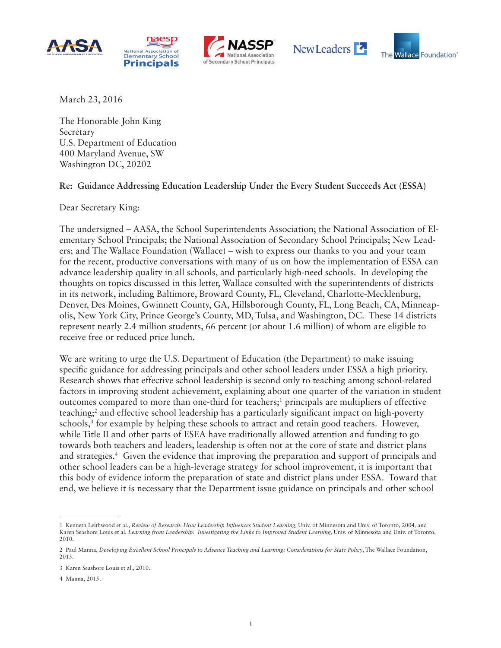







March 23, 2016

The Honorable John King Secretary U.S. Department of Education 400 Maryland Avenue, SW Washington DC, 20202

## **Re: Guidance Addressing Education Leadership Under the Every Student Succeeds Act (ESSA)**

Dear Secretary King:

The undersigned – AASA, the School Superintendents Association; the National Association of Elementary School Principals; the National Association of Secondary School Principals; New Leaders; and The Wallace Foundation (Wallace) – wish to express our thanks to you and your team for the recent, productive conversations with many of us on how the implementation of ESSA can advance leadership quality in all schools, and particularly high-need schools. In developing the thoughts on topics discussed in this letter, Wallace consulted with the superintendents of districts in its network, including Baltimore, Broward County, FL, Cleveland, Charlotte-Mecklenburg, Denver, Des Moines, Gwinnett County, GA, Hillsborough County, FL, Long Beach, CA, Minneapolis, New York City, Prince George's County, MD, Tulsa, and Washington, DC. These 14 districts represent nearly 2.4 million students, 66 percent (or about 1.6 million) of whom are eligible to receive free or reduced price lunch.

We are writing to urge the U.S. Department of Education (the Department) to make issuing specific guidance for addressing principals and other school leaders under ESSA a high priority. Research shows that effective school leadership is second only to teaching among school-related factors in improving student achievement, explaining about one quarter of the variation in student outcomes compared to more than one-third for teachers;<sup>1</sup> principals are multipliers of effective teaching;<sup>2</sup> and effective school leadership has a particularly significant impact on high-poverty schools,<sup>3</sup> for example by helping these schools to attract and retain good teachers. However, while Title II and other parts of ESEA have traditionally allowed attention and funding to go towards both teachers and leaders, leadership is often not at the core of state and district plans and strategies.<sup>4</sup> Given the evidence that improving the preparation and support of principals and other school leaders can be a high-leverage strategy for school improvement, it is important that this body of evidence inform the preparation of state and district plans under ESSA. Toward that end, we believe it is necessary that the Department issue guidance on principals and other school

<sup>1</sup> Kenneth Leithwood et al., *Review of Research: How Leadership Influences Student Learning,* Univ. of Minnesota and Univ. of Toronto, 2004*,* and Karen Seashore Louis et al. *Learning from Leadership: Investigating the Links to Improved Student Learning*, Univ. of Minnesota and Univ. of Toronto, 2010.

<sup>2</sup> Paul Manna, *Developing Excellent School Principals to Advance Teaching and Learning: Considerations for State Policy*, The Wallace Foundation, 2015.

<sup>3</sup> Karen Seashore Louis et al., 2010.

<sup>4</sup> Manna, 2015.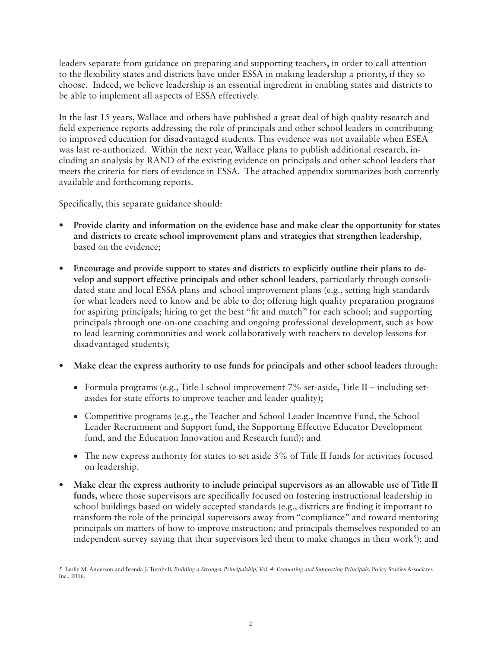leaders separate from guidance on preparing and supporting teachers, in order to call attention to the flexibility states and districts have under ESSA in making leadership a priority, if they so choose. Indeed, we believe leadership is an essential ingredient in enabling states and districts to be able to implement all aspects of ESSA effectively.

In the last 15 years, Wallace and others have published a great deal of high quality research and field experience reports addressing the role of principals and other school leaders in contributing to improved education for disadvantaged students. This evidence was not available when ESEA was last re-authorized. Within the next year, Wallace plans to publish additional research, including an analysis by RAND of the existing evidence on principals and other school leaders that meets the criteria for tiers of evidence in ESSA. The attached appendix summarizes both currently available and forthcoming reports.

Specifically, this separate guidance should:

- **• Provide clarity and information on the evidence base and make clear the opportunity for states and districts to create school improvement plans and strategies that strengthen leadership,**  based on the evidence;
- Encourage and provide support to states and districts to explicitly outline their plans to de**velop and support effective principals and other school leaders,** particularly through consolidated state and local ESSA plans and school improvement plans (e.g., setting high standards for what leaders need to know and be able to do; offering high quality preparation programs for aspiring principals; hiring to get the best "fit and match" for each school; and supporting principals through one-on-one coaching and ongoing professional development, such as how to lead learning communities and work collaboratively with teachers to develop lessons for disadvantaged students);
- Make clear the express authority to use funds for principals and other school leaders through:
	- Formula programs (e.g., Title I school improvement 7% set-aside, Title II including setasides for state efforts to improve teacher and leader quality);
	- Competitive programs (e.g., the Teacher and School Leader Incentive Fund, the School Leader Recruitment and Support fund, the Supporting Effective Educator Development fund, and the Education Innovation and Research fund); and
	- The new express authority for states to set aside 3% of Title II funds for activities focused on leadership.
- Make clear the express authority to include principal supervisors as an allowable use of Title II **funds,** where those supervisors are specifically focused on fostering instructional leadership in school buildings based on widely accepted standards (e.g., districts are finding it important to transform the role of the principal supervisors away from "compliance" and toward mentoring principals on matters of how to improve instruction; and principals themselves responded to an independent survey saying that their supervisors led them to make changes in their work<sup>5</sup>); and

<sup>5</sup> Leslie M. Anderson and Brenda J. Turnbull, *Building a Stronger Principalship, Vol. 4: Evaluating and Supporting Principals*, Policy Studies Associates Inc., 2016.